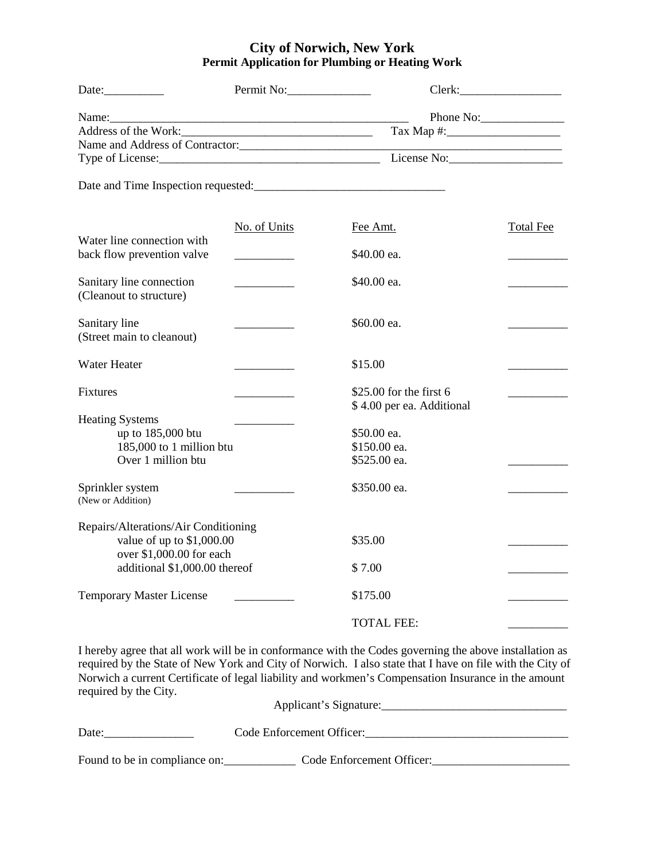## **City of Norwich, New York Permit Application for Plumbing or Heating Work**

| Date:                                                              | Permit No:                                                                                                           |                                                      |                  |
|--------------------------------------------------------------------|----------------------------------------------------------------------------------------------------------------------|------------------------------------------------------|------------------|
| $Name:\_\_\_\_\_\_\$                                               | <u> 1980 - Johann John Stone, mars eta bat eta bat eta bat eta bat ez arteko hamarkada eta bat ez arteko hamarka</u> |                                                      | Phone No:        |
|                                                                    |                                                                                                                      |                                                      |                  |
|                                                                    |                                                                                                                      |                                                      |                  |
|                                                                    |                                                                                                                      |                                                      |                  |
|                                                                    |                                                                                                                      |                                                      |                  |
| Water line connection with                                         | No. of Units                                                                                                         | Fee Amt.                                             | <b>Total Fee</b> |
| back flow prevention valve                                         | $\overline{a}$                                                                                                       | \$40.00 ea.                                          |                  |
| Sanitary line connection<br>(Cleanout to structure)                |                                                                                                                      | \$40.00 ea.                                          |                  |
| Sanitary line<br>(Street main to cleanout)                         |                                                                                                                      | \$60.00 ea.                                          |                  |
| <b>Water Heater</b>                                                |                                                                                                                      | \$15.00                                              |                  |
| <b>Fixtures</b>                                                    |                                                                                                                      | \$25.00 for the first 6<br>\$4.00 per ea. Additional |                  |
| <b>Heating Systems</b>                                             |                                                                                                                      |                                                      |                  |
| up to 185,000 btu                                                  |                                                                                                                      | \$50.00 ea.                                          |                  |
| 185,000 to 1 million btu                                           |                                                                                                                      | \$150.00 ea.                                         |                  |
| Over 1 million btu                                                 |                                                                                                                      | \$525.00 ea.                                         |                  |
| Sprinkler system<br>(New or Addition)                              |                                                                                                                      | \$350.00 ea.                                         |                  |
|                                                                    |                                                                                                                      |                                                      |                  |
| Repairs/Alterations/Air Conditioning<br>value of up to $$1,000.00$ |                                                                                                                      | \$35.00                                              |                  |
| over \$1,000.00 for each                                           |                                                                                                                      |                                                      |                  |
| additional \$1,000.00 thereof                                      |                                                                                                                      | \$7.00                                               |                  |
| <b>Temporary Master License</b>                                    |                                                                                                                      | \$175.00                                             |                  |
|                                                                    |                                                                                                                      | <b>TOTAL FEE:</b>                                    |                  |

I hereby agree that all work will be in conformance with the Codes governing the above installation as required by the State of New York and City of Norwich. I also state that I have on file with the City of Norwich a current Certificate of legal liability and workmen's Compensation Insurance in the amount required by the City.

|                               | Applicant's Signature:    |
|-------------------------------|---------------------------|
| Date:                         | Code Enforcement Officer: |
| Found to be in compliance on: | Code Enforcement Officer: |